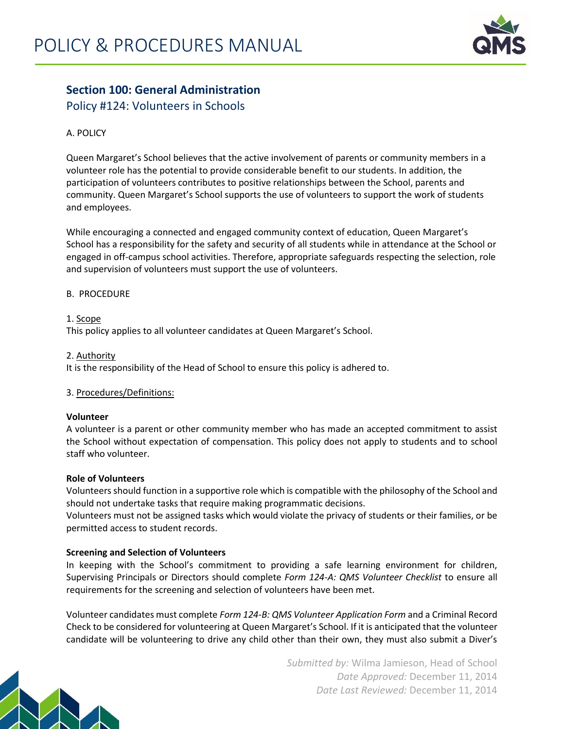

# **Section 100: General Administration**

Policy #124: Volunteers in Schools

# A. POLICY

Queen Margaret's School believes that the active involvement of parents or community members in a volunteer role has the potential to provide considerable benefit to our students. In addition, the participation of volunteers contributes to positive relationships between the School, parents and community. Queen Margaret's School supports the use of volunteers to support the work of students and employees.

While encouraging a connected and engaged community context of education, Queen Margaret's School has a responsibility for the safety and security of all students while in attendance at the School or engaged in off-campus school activities. Therefore, appropriate safeguards respecting the selection, role and supervision of volunteers must support the use of volunteers.

### B. PROCEDURE

1. Scope This policy applies to all volunteer candidates at Queen Margaret's School.

2. Authority

It is the responsibility of the Head of School to ensure this policy is adhered to.

# 3. Procedures/Definitions:

### **Volunteer**

A volunteer is a parent or other community member who has made an accepted commitment to assist the School without expectation of compensation. This policy does not apply to students and to school staff who volunteer.

### **Role of Volunteers**

Volunteers should function in a supportive role which is compatible with the philosophy of the School and should not undertake tasks that require making programmatic decisions.

Volunteers must not be assigned tasks which would violate the privacy of students or their families, or be permitted access to student records.

# **Screening and Selection of Volunteers**

In keeping with the School's commitment to providing a safe learning environment for children, Supervising Principals or Directors should complete *Form 124-A: QMS Volunteer Checklist* to ensure all requirements for the screening and selection of volunteers have been met.

Volunteer candidates must complete *Form 124-B: QMS Volunteer Application Form* and a Criminal Record Check to be considered for volunteering at Queen Margaret's School. If it is anticipated that the volunteer candidate will be volunteering to drive any child other than their own, they must also submit a Diver's



*Submitted by:* Wilma Jamieson, Head of School *Date Approved:* December 11, 2014 *Date Last Reviewed:* December 11, 2014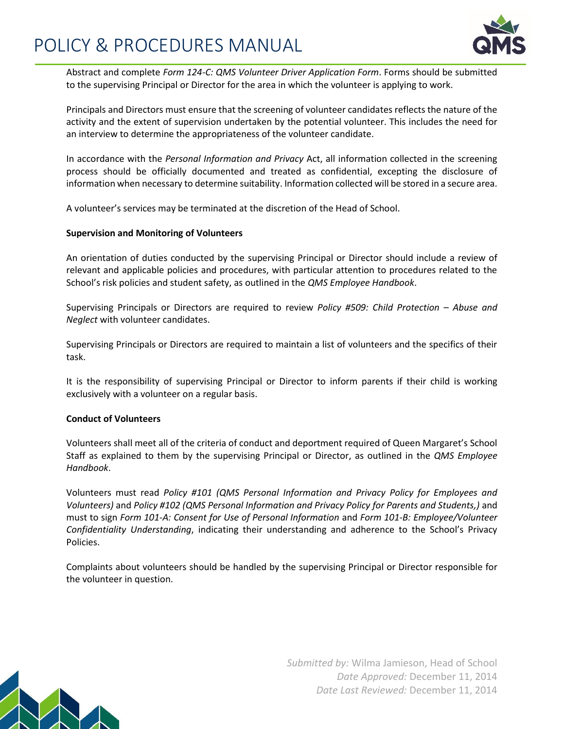

Abstract and complete *Form 124-C: QMS Volunteer Driver Application Form*. Forms should be submitted to the supervising Principal or Director for the area in which the volunteer is applying to work.

Principals and Directors must ensure that the screening of volunteer candidates reflects the nature of the activity and the extent of supervision undertaken by the potential volunteer. This includes the need for an interview to determine the appropriateness of the volunteer candidate.

In accordance with the *Personal Information and Privacy* Act, all information collected in the screening process should be officially documented and treated as confidential, excepting the disclosure of information when necessary to determine suitability. Information collected will be stored in a secure area.

A volunteer's services may be terminated at the discretion of the Head of School.

#### **Supervision and Monitoring of Volunteers**

An orientation of duties conducted by the supervising Principal or Director should include a review of relevant and applicable policies and procedures, with particular attention to procedures related to the School's risk policies and student safety, as outlined in the *QMS Employee Handbook*.

Supervising Principals or Directors are required to review *Policy #509: Child Protection – Abuse and Neglect* with volunteer candidates.

Supervising Principals or Directors are required to maintain a list of volunteers and the specifics of their task.

It is the responsibility of supervising Principal or Director to inform parents if their child is working exclusively with a volunteer on a regular basis.

### **Conduct of Volunteers**

Volunteers shall meet all of the criteria of conduct and deportment required of Queen Margaret's School Staff as explained to them by the supervising Principal or Director, as outlined in the *QMS Employee Handbook*.

Volunteers must read *Policy #101 (QMS Personal Information and Privacy Policy for Employees and Volunteers)* and *Policy #102 (QMS Personal Information and Privacy Policy for Parents and Students,)* and must to sign *Form 101-A: Consent for Use of Personal Information* and *Form 101-B: Employee/Volunteer Confidentiality Understanding*, indicating their understanding and adherence to the School's Privacy Policies.

Complaints about volunteers should be handled by the supervising Principal or Director responsible for the volunteer in question.



*Submitted by:* Wilma Jamieson, Head of School *Date Approved:* December 11, 2014 *Date Last Reviewed:* December 11, 2014